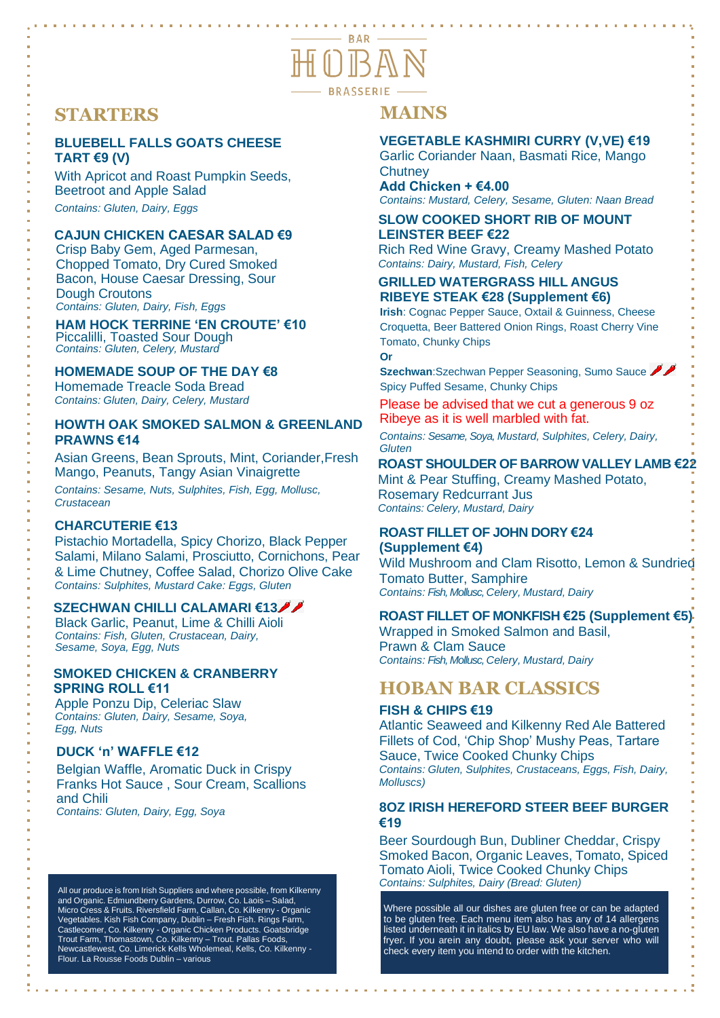# **BAR** HF (I) TB AN R - BRASSERIE

# **STARTERS**

## **BLUEBELL FALLS GOATS CHEESE TART €9 (V)**

With Apricot and Roast Pumpkin Seeds, Beetroot and Apple Salad *Contains: Gluten, Dairy, Eggs*

### **CAJUN CHICKEN CAESAR SALAD €9**

Crisp Baby Gem, Aged Parmesan, Chopped Tomato, Dry Cured Smoked Bacon, House Caesar Dressing, Sour Dough Croutons *Contains: Gluten, Dairy, Fish, Eggs*

#### **HAM HOCK TERRINE 'EN CROUTE' €10** Piccalilli, Toasted Sour Dough *Contains: Gluten, Celery, Mustard*

### **HOMEMADE SOUP OF THE DAY €8**

Homemade Treacle Soda Bread *Contains: Gluten, Dairy, Celery, Mustard*

### **HOWTH OAK SMOKED SALMON & GREENLAND PRAWNS €14**

Asian Greens, Bean Sprouts, Mint, Coriander,Fresh Mango, Peanuts, Tangy Asian Vinaigrette

*Contains: Sesame, Nuts, Sulphites, Fish, Egg, Mollusc, Crustacean*

### **CHARCUTERIE €13**

Pistachio Mortadella, Spicy Chorizo, Black Pepper Salami, Milano Salami, Prosciutto, Cornichons, Pear & Lime Chutney, Coffee Salad, Chorizo Olive Cake *Contains: Sulphites, Mustard Cake: Eggs, Gluten*

#### **SZECHWAN CHILLI CALAMARI €13**

Black Garlic, Peanut, Lime & Chilli Aioli *Contains: Fish, Gluten, Crustacean, Dairy, Sesame, Soya, Egg, Nuts*

### **SMOKED CHICKEN & CRANBERRY SPRING ROLL €11**

Apple Ponzu Dip, Celeriac Slaw *Contains: Gluten, Dairy, Sesame, Soya, Egg, Nuts*

### **DUCK 'n' WAFFLE €12**

Belgian Waffle, Aromatic Duck in Crispy Franks Hot Sauce , Sour Cream, Scallions and Chili *Contains: Gluten, Dairy, Egg, Soya*

All our produce is from Irish Suppliers and where possible, from Kilkenny and Organic. Edmundberry Gardens, Durrow, Co. Laois – Salad, Micro Cress & Fruits. Riversfield Farm, Callan, Co. Kilkenny - Organic Vegetables. Kish Fish Company, Dublin – Fresh Fish. Rings Farm, Castlecomer, Co. Kilkenny - Organic Chicken Products. Goatsbridge Trout Farm, Thomastown, Co. Kilkenny – Trout. Pallas Foods, Newcastlewest, Co. Limerick Kells Wholemeal, Kells, Co. Kilkenny - Flour. La Rousse Foods Dublin – various

# **MAINS**

### **VEGETABLE KASHMIRI CURRY (V,VE) €19**

Garlic Coriander Naan, Basmati Rice, Mango **Chutney** 

# **Add Chicken + €4.00**

*Contains: Mustard, Celery, Sesame, Gluten: Naan Bread*

### **SLOW COOKED SHORT RIB OF MOUNT LEINSTER BEEF €22**

Rich Red Wine Gravy, Creamy Mashed Potato *Contains: Dairy, Mustard, Fish, Celery*

#### **GRILLED WATERGRASS HILL ANGUS RIBEYE STEAK €28 (Supplement €6)**

**Irish**: Cognac Pepper Sauce, Oxtail & Guinness, Cheese Croquetta, Beer Battered Onion Rings, Roast Cherry Vine Tomato, Chunky Chips

# **Or**

**Szechwan**:Szechwan Pepper Seasoning, Sumo Sauce Spicy Puffed Sesame, Chunky Chips

Please be advised that we cut a generous 9 oz Ribeye as it is well marbled with fat.

*Contains: Sesame, Soya, Mustard, Sulphites, Celery, Dairy, Gluten*

### **ROAST SHOULDER OF BARROW VALLEY LAMB €22**

Mint & Pear Stuffing, Creamy Mashed Potato, Rosemary Redcurrant Jus *Contains: Celery, Mustard, Dairy*

#### **ROAST FILLET OF JOHN DORY €24 (Supplement €4)**

Wild Mushroom and Clam Risotto, Lemon & Sundried Tomato Butter, Samphire *Contains: Fish, Mollusc, Celery, Mustard, Dairy*

## **ROAST FILLET OF MONKFISH €25 (Supplement €5)**

Wrapped in Smoked Salmon and Basil, Prawn & Clam Sauce *Contains: Fish, Mollusc, Celery, Mustard, Dairy*

# **HOBAN BAR CLASSICS**

#### **FISH & CHIPS €19**

Atlantic Seaweed and Kilkenny Red Ale Battered Fillets of Cod, 'Chip Shop' Mushy Peas, Tartare Sauce, Twice Cooked Chunky Chips *Contains: Gluten, Sulphites, Crustaceans, Eggs, Fish, Dairy, Molluscs)*

### **8OZ IRISH HEREFORD STEER BEEF BURGER €19**

Beer Sourdough Bun, Dubliner Cheddar, Crispy Smoked Bacon, Organic Leaves, Tomato, Spiced Tomato Aioli, Twice Cooked Chunky Chips *Contains: Sulphites, Dairy (Bread: Gluten)*

Where possible all our dishes are gluten free or can be adapted to be gluten free. Each menu item also has any of 14 allergens listed underneath it in italics by EU law. We also have a no-gluten fryer. If you arein any doubt, please ask your server who will check every item you intend to order with the kitchen.